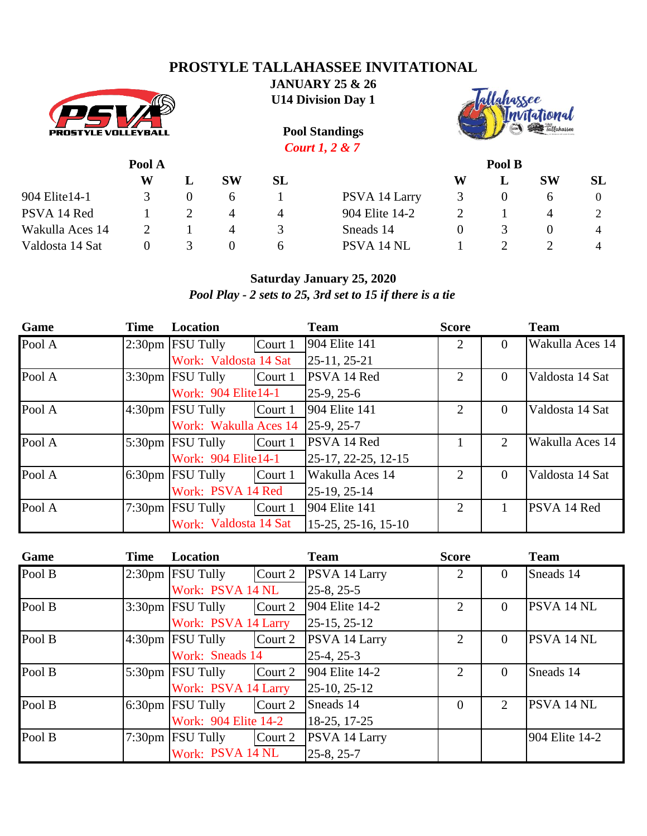# **PROSTYLE TALLAHASSEE INVITATIONAL**



**JANUARY 25 & 26 U14 Division Day 1**



**Pool Standings** *Court 1, 2 & 7* **Pool A Pool B W L SW SL W L SW SL** 904 Elite14-1 3 0 6 1 PSVA 14 Larry 3 0 6 0

PSVA 14 Red 1 2 4 4 904 Elite 14-2 2 1 4 2 Wakulla Aces 14 2 1 4 3 Sneads 14 0 3 0 4 Valdosta 14 Sat 0 3 0 6 PSVA 14 NL 1 2 2 4

*Pool Play - 2 sets to 25, 3rd set to 15 if there is a tie*

| Game   | <b>Time</b> | Location                   |         | <b>Team</b>         | <b>Score</b>   |                | <b>Team</b>     |
|--------|-------------|----------------------------|---------|---------------------|----------------|----------------|-----------------|
| Pool A |             | $2:30 \text{pm}$ FSU Tully | Court 1 | 904 Elite 141       | $\overline{2}$ | $\Omega$       | Wakulla Aces 14 |
|        |             | Work: Valdosta 14 Sat      |         | 25-11, 25-21        |                |                |                 |
| Pool A |             | $3:30$ pm FSU Tully        | Court 1 | PSVA 14 Red         | $\overline{2}$ | $\overline{0}$ | Valdosta 14 Sat |
|        |             | Work: 904 Elite14-1        |         | $25-9, 25-6$        |                |                |                 |
| Pool A |             | $4:30pm$ FSU Tully         | Court 1 | 904 Elite 141       | $\overline{2}$ | $\theta$       | Valdosta 14 Sat |
|        |             | Work: Wakulla Aces 14      |         | 25-9, 25-7          |                |                |                 |
| Pool A |             | $5:30$ pm FSU Tully        | Court 1 | PSVA 14 Red         |                | 2              | Wakulla Aces 14 |
|        |             | Work: 904 Elite14-1        |         | 25-17, 22-25, 12-15 |                |                |                 |
| Pool A |             | $6:30$ pm FSU Tully        | Court 1 | Wakulla Aces 14     | $\overline{2}$ | $\theta$       | Valdosta 14 Sat |
|        |             | Work: PSVA 14 Red          |         | 25-19, 25-14        |                |                |                 |
| Pool A |             | 7:30pm FSU Tully           | Court 1 | 904 Elite 141       | 2              |                | PSVA 14 Red     |
|        |             | Work: Valdosta 14 Sat      |         | 15-25, 25-16, 15-10 |                |                |                 |

| Game   | <b>Time</b> | Location             |         | <b>Team</b>    | <b>Score</b>   |                | <b>Team</b>       |
|--------|-------------|----------------------|---------|----------------|----------------|----------------|-------------------|
| Pool B |             | $2:30pm$ [FSU Tully  | Court 2 | PSVA 14 Larry  | 2              | $\overline{0}$ | Sneads 14         |
|        |             | Work: PSVA 14 NL     |         | $25-8, 25-5$   |                |                |                   |
| Pool B |             | $3:30$ pm FSU Tully  | Court 2 | 904 Elite 14-2 | $\overline{2}$ | $\Omega$       | PSVA 14 NL        |
|        |             | Work: PSVA 14 Larry  |         | $25-15, 25-12$ |                |                |                   |
| Pool B |             | $4:30pm$ [FSU Tully  | Court 2 | PSVA 14 Larry  | $\overline{2}$ | $\overline{0}$ | PSVA 14 NL        |
|        |             | Work: Sneads 14      |         | $25-4, 25-3$   |                |                |                   |
| Pool B |             | $5:30$ pm FSU Tully  | Court 2 | 904 Elite 14-2 | 2              | $\Omega$       | Sneads 14         |
|        |             | Work: PSVA 14 Larry  |         | $25-10, 25-12$ |                |                |                   |
| Pool B |             | 6:30pm FSU Tully     | Court 2 | Sneads 14      | $\Omega$       | $\overline{2}$ | <b>PSVA 14 NL</b> |
|        |             | Work: 904 Elite 14-2 |         | 18-25, 17-25   |                |                |                   |
| Pool B |             | 7:30pm FSU Tully     | Court 2 | PSVA 14 Larry  |                |                | 904 Elite 14-2    |
|        |             | Work: PSVA 14 NL     |         | $25-8, 25-7$   |                |                |                   |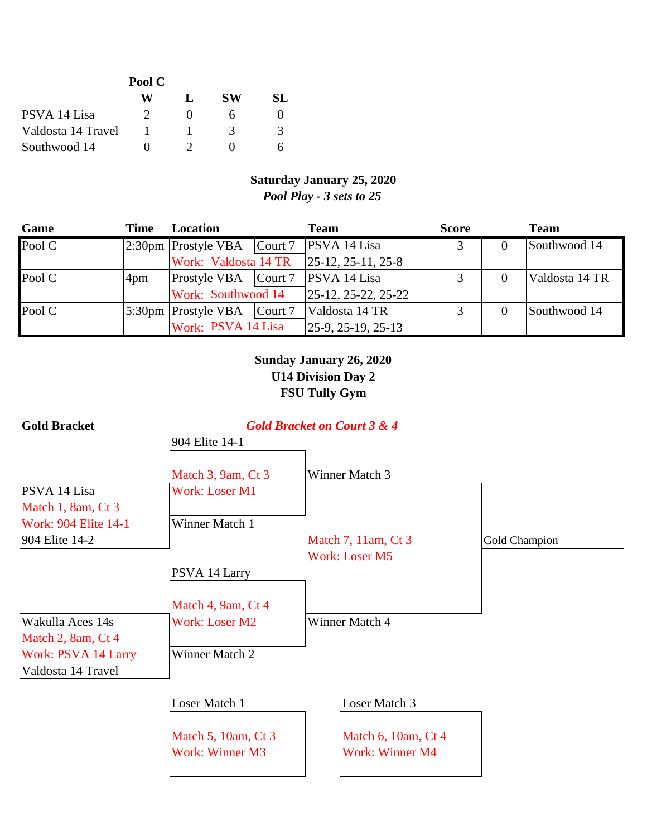|                    | Pool C |    |    |     |
|--------------------|--------|----|----|-----|
|                    | W      | Ι. | SW | SL. |
| PSVA 14 Lisa       |        |    |    |     |
| Valdosta 14 Travel |        |    | 3  |     |
| Southwood 14       |        |    |    |     |

#### **Saturday January 25, 2020** *Pool Play - 3 sets to 25*

| Game   | Time | Location                                 | <b>Team</b>                              | <b>Score</b> | <b>Team</b>    |
|--------|------|------------------------------------------|------------------------------------------|--------------|----------------|
| Pool C |      | 2:30pm Prostyle VBA Court 7 PSVA 14 Lisa |                                          |              | Southwood 14   |
|        |      |                                          | Work: Valdosta 14 TR  25-12, 25-11, 25-8 |              |                |
| Pool C | 4pm  | Prostyle VBA   Court 7                   | <b>PSVA</b> 14 Lisa                      |              | Valdosta 14 TR |
|        |      | Work: Southwood 14                       | $25-12, 25-22, 25-22$                    |              |                |
| Pool C |      | 5:30pm Prostyle VBA   Court 7            | Valdosta 14 TR                           |              | Southwood 14   |
|        |      | Work: PSVA 14 Lisa                       | $[25-9, 25-19, 25-13]$                   |              |                |

### **Sunday January 26, 2020 U14 Division Day 2 FSU Tully Gym**